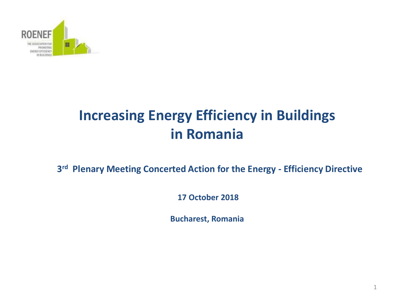

## **Increasing Energy Efficiency in Buildings in Romania**

**3 rd Plenary Meeting Concerted Action for the Energy - Efficiency Directive** 

**17 October 2018** 

**Bucharest, Romania**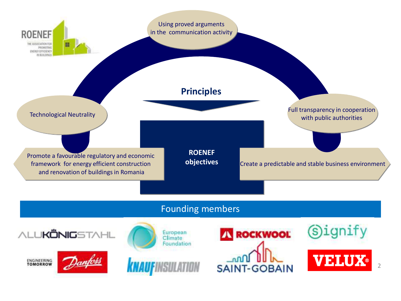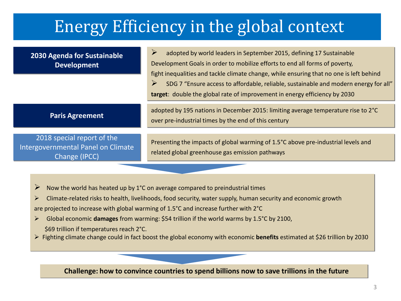# Energy Efficiency in the global context

**2030 Agenda for Sustainable Development**   $\triangleright$  adopted by world leaders in September 2015, defining 17 Sustainable Development Goals in order to mobilize efforts to end all forms of poverty, fight inequalities and tackle climate change, while ensuring that no one is left behind  $\triangleright$  SDG 7 "Ensure access to affordable, reliable, sustainable and modern energy for all" **target**: double the global rate of improvement in energy efficiency by 2030 **Paris Agreement** adopted by 195 nations in December 2015: limiting average temperature rise to 2°C over pre-industrial times by the end of this century 2018 special report of the Intergovernmental Panel on Climate Change (IPCC) Presenting the impacts of global warming of 1.5°C above pre-industrial levels and related global greenhouse gas emission pathways Now the world has heated up by 1<sup>°</sup>C on average compared to preindustrial times  $\triangleright$  Climate-related risks to health, livelihoods, food security, water supply, human security and economic growth are projected to increase with global warming of 1.5°C and increase further with 2°C Global economic **damages** from warming: \$54 trillion if the world warms by 1.5°C by 2100, \$69 trillion if temperatures reach 2°C.

Fighting climate change could in fact boost the global economy with economic **benefits** estimated at \$26 trillion by 2030

**Challenge: how to convince countries to spend billions now to save trillions in the future**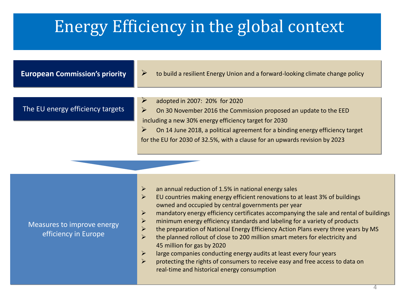# Energy Efficiency in the global context

**European Commission's priority**  $\rightarrow$  to build a resilient Energy Union and a forward-looking climate change policy The EU energy efficiency targets adopted in 2007: 20% for 2020  $\triangleright$  On 30 November 2016 the Commission proposed an update to the EED including a new 30% energy efficiency target for 2030  $\triangleright$  On 14 June 2018, a political agreement for a binding energy efficiency target for the EU for 2030 of 32.5%, with a clause for an upwards revision by 2023

Measures to improve energy efficiency in Europe

- $\geq$  an annual reduction of 1.5% in national energy sales
- $\triangleright$  EU countries making energy efficient renovations to at least 3% of buildings owned and occupied by central governments per year
- $\triangleright$  mandatory energy efficiency certificates accompanying the sale and rental of buildings
- $\triangleright$  minimum energy efficiency standards and labeling for a variety of products
- $\triangleright$  the preparation of National Energy Efficiency Action Plans every three years by MS
- $\triangleright$  the planned rollout of close to 200 million smart meters for electricity and 45 million for gas by 2020
- $\triangleright$  large companies conducting energy audits at least every four years
- $\triangleright$  protecting the rights of consumers to receive easy and free access to data on real-time and historical energy consumption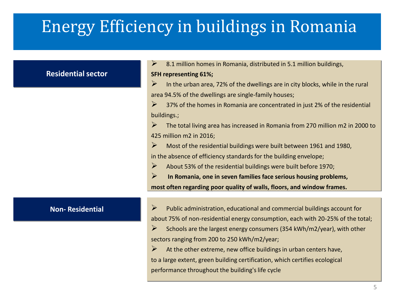# Energy Efficiency in buildings in Romania

#### **Residential sector**

 $\geq$  8.1 million homes in Romania, distributed in 5.1 million buildings,

#### **SFH representing 61%;**

 $\triangleright$  In the urban area, 72% of the dwellings are in city blocks, while in the rural area 94.5% of the dwellings are single-family houses;

 $\triangleright$  37% of the homes in Romania are concentrated in just 2% of the residential buildings.;

 $\triangleright$  The total living area has increased in Romania from 270 million m2 in 2000 to 425 million m2 in 2016;

 $\triangleright$  Most of the residential buildings were built between 1961 and 1980,

in the absence of efficiency standards for the building envelope;

 $\triangleright$  About 53% of the residential buildings were built before 1970;

 **In Romania, one in seven families face serious housing problems, most often regarding poor quality of walls, floors, and window frames.**

**Non- Residential Public administration, educational and commercial buildings account for** about 75% of non-residential energy consumption, each with 20-25% of the total;

> $\triangleright$  Schools are the largest energy consumers (354 kWh/m2/year), with other sectors ranging from 200 to 250 kWh/m2/year;

 $\triangleright$  At the other extreme, new office buildings in urban centers have, to a large extent, green building certification, which certifies ecological performance throughout the building's life cycle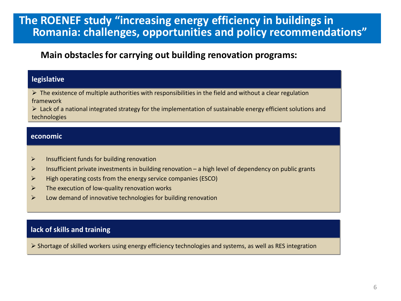### **The ROENEF study "increasing energy efficiency in buildings in Romania: challenges, opportunities and policy recommendations"**

### **Main obstacles for carrying out building renovation programs:**

#### **legislative**

 $\triangleright$  The existence of multiple authorities with responsibilities in the field and without a clear regulation framework

 $\triangleright$  Lack of a national integrated strategy for the implementation of sustainable energy efficient solutions and technologies

#### **economic**

- $\triangleright$  Insufficient funds for building renovation
- $\triangleright$  Insufficient private investments in building renovation a high level of dependency on public grants
- $\triangleright$  High operating costs from the energy service companies (ESCO)
- $\triangleright$  The execution of low-quality renovation works
- $\triangleright$  Low demand of innovative technologies for building renovation

### **lack of skills and training**

 $\triangleright$  Shortage of skilled workers using energy efficiency technologies and systems, as well as RES integration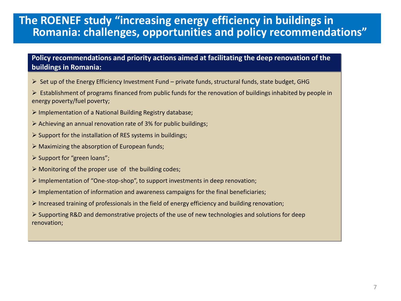### **The ROENEF study "increasing energy efficiency in buildings in Romania: challenges, opportunities and policy recommendations"**

#### **Policy recommendations and priority actions aimed at facilitating the deep renovation of the buildings in Romania:**

- $\triangleright$  Set up of the Energy Efficiency Investment Fund private funds, structural funds, state budget, GHG
- $\triangleright$  Establishment of programs financed from public funds for the renovation of buildings inhabited by people in energy poverty/fuel poverty;
- Implementation of a National Building Registry database;
- $\triangleright$  Achieving an annual renovation rate of 3% for public buildings;
- $\triangleright$  Support for the installation of RES systems in buildings;
- $\triangleright$  Maximizing the absorption of European funds;
- $\triangleright$  Support for "green loans";
- $\triangleright$  Monitoring of the proper use of the building codes;
- $\triangleright$  Implementation of "One-stop-shop", to support investments in deep renovation;
- $\triangleright$  Implementation of information and awareness campaigns for the final beneficiaries;
- $\triangleright$  Increased training of professionals in the field of energy efficiency and building renovation;
- $\triangleright$  Supporting R&D and demonstrative projects of the use of new technologies and solutions for deep renovation;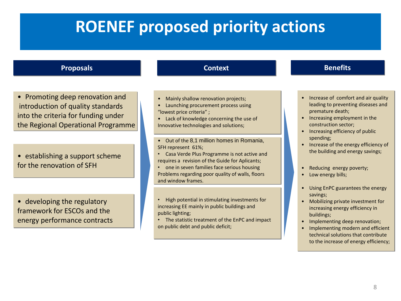# **ROENEF proposed priority actions**

#### **Proposals**

• Promoting deep renovation and introduction of quality standards into the criteria for funding under the Regional Operational Programme

• establishing a support scheme for the renovation of SFH

• developing the regulatory framework for ESCOs and the energy performance contracts

#### **Context**

- Mainly shallow renovation projects;
- Launching procurement process using "lowest price criteria" ;
- Lack of knowledge concerning the use of Innovative technologies and solutions;
- Out of the 8,1 million homes in Romania, SFH represent 61%;
- Casa Verde Plus Programme is not active and requires a revision of the Guide for Aplicants;
- one in seven families face serious housing Problems regarding poor quality of walls, floors and window frames.
- High potential in stimulating investments for increasing EE mainly in public buildings and public lighting;
- The statistic treatment of the EnPC and impact on public debt and public deficit;

#### **Benefits**

- Increase of comfort and air quality leading to preventing diseases and premature death;
- Increasing employment in the construction sector;
- Increasing efficiency of public spending;
- Increase of the energy efficiency of the building and energy savings;
- Reducing energy poverty;
- Low energy bills;
- Using EnPC guarantees the energy savings;
- Mobilizing private investment for increasing energy efficiency in buildings;
- Implementing deep renovation;
- Implementing modern and efficient technical solutions that contribute to the increase of energy efficiency;